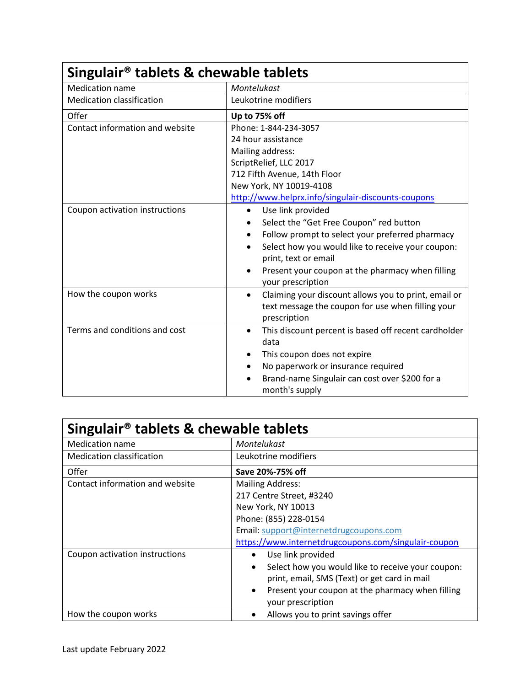| Singulair <sup>®</sup> tablets & chewable tablets |                                                                   |  |  |
|---------------------------------------------------|-------------------------------------------------------------------|--|--|
| Medication name                                   | Montelukast                                                       |  |  |
| <b>Medication classification</b>                  | Leukotrine modifiers                                              |  |  |
| Offer                                             | Up to 75% off                                                     |  |  |
| Contact information and website                   | Phone: 1-844-234-3057<br>24 hour assistance<br>Mailing address:   |  |  |
|                                                   |                                                                   |  |  |
|                                                   |                                                                   |  |  |
|                                                   | ScriptRelief, LLC 2017                                            |  |  |
|                                                   | 712 Fifth Avenue, 14th Floor                                      |  |  |
|                                                   | New York, NY 10019-4108                                           |  |  |
|                                                   | http://www.helprx.info/singulair-discounts-coupons                |  |  |
| Coupon activation instructions                    | Use link provided<br>$\bullet$                                    |  |  |
|                                                   | Select the "Get Free Coupon" red button                           |  |  |
|                                                   | Follow prompt to select your preferred pharmacy                   |  |  |
|                                                   | Select how you would like to receive your coupon:<br>$\bullet$    |  |  |
|                                                   | print, text or email                                              |  |  |
|                                                   | Present your coupon at the pharmacy when filling                  |  |  |
|                                                   | your prescription                                                 |  |  |
| How the coupon works                              | Claiming your discount allows you to print, email or<br>$\bullet$ |  |  |
|                                                   | text message the coupon for use when filling your                 |  |  |
|                                                   | prescription                                                      |  |  |
| Terms and conditions and cost                     | This discount percent is based off recent cardholder<br>$\bullet$ |  |  |
|                                                   | data                                                              |  |  |
|                                                   | This coupon does not expire                                       |  |  |
|                                                   | No paperwork or insurance required                                |  |  |
|                                                   | Brand-name Singulair can cost over \$200 for a                    |  |  |
|                                                   | month's supply                                                    |  |  |

| Singulair <sup>®</sup> tablets & chewable tablets |                                                                                    |  |
|---------------------------------------------------|------------------------------------------------------------------------------------|--|
| <b>Medication name</b>                            | Montelukast                                                                        |  |
| <b>Medication classification</b>                  | Leukotrine modifiers                                                               |  |
| Offer                                             | Save 20%-75% off                                                                   |  |
| Contact information and website                   | <b>Mailing Address:</b>                                                            |  |
|                                                   | 217 Centre Street, #3240                                                           |  |
|                                                   | New York, NY 10013                                                                 |  |
|                                                   | Phone: (855) 228-0154                                                              |  |
|                                                   | Email: support@internetdrugcoupons.com                                             |  |
|                                                   | https://www.internetdrugcoupons.com/singulair-coupon                               |  |
| Coupon activation instructions                    | Use link provided<br>٠                                                             |  |
|                                                   | Select how you would like to receive your coupon:<br>٠                             |  |
|                                                   | print, email, SMS (Text) or get card in mail                                       |  |
|                                                   | Present your coupon at the pharmacy when filling<br>$\bullet$<br>your prescription |  |
| How the coupon works                              | Allows you to print savings offer                                                  |  |